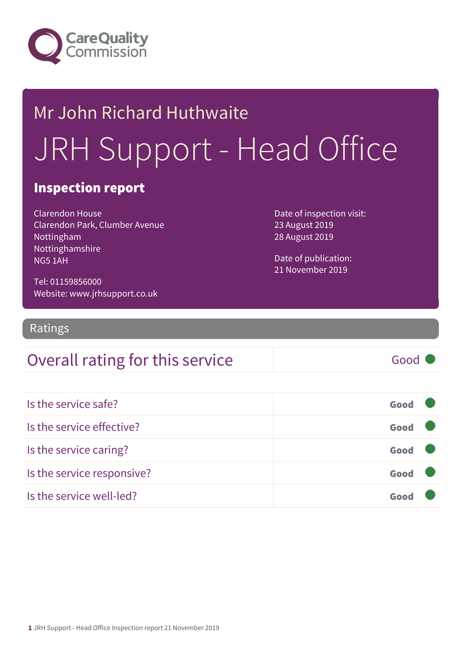

# Mr John Richard Huthwaite JRH Support - Head Office

#### Inspection report

Clarendon House Clarendon Park, Clumber Avenue Nottingham Nottinghamshire NG5 1AH

Date of inspection visit: 23 August 2019 28 August 2019

Date of publication: 21 November 2019

Tel: 01159856000 Website: www.jrhsupport.co.uk

Ratings

### Overall rating for this service and all the Good

| Is the service safe?       | Good |  |
|----------------------------|------|--|
| Is the service effective?  | Good |  |
| Is the service caring?     | Good |  |
| Is the service responsive? | Good |  |
| Is the service well-led?   |      |  |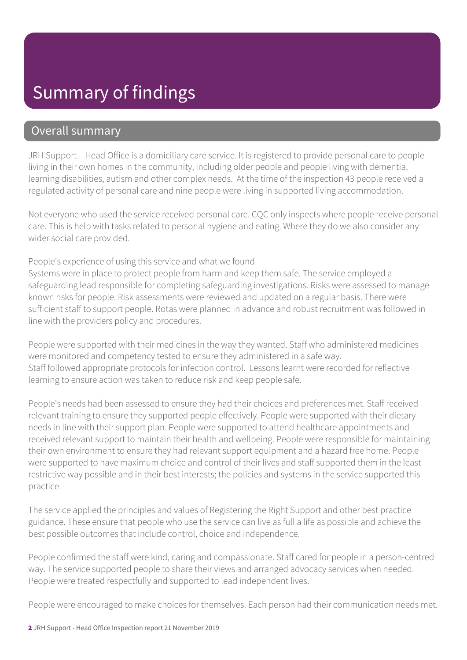### Summary of findings

#### Overall summary

JRH Support – Head Office is a domiciliary care service. It is registered to provide personal care to people living in their own homes in the community, including older people and people living with dementia, learning disabilities, autism and other complex needs. At the time of the inspection 43 people received a regulated activity of personal care and nine people were living in supported living accommodation.

Not everyone who used the service received personal care. CQC only inspects where people receive personal care. This is help with tasks related to personal hygiene and eating. Where they do we also consider any wider social care provided.

People's experience of using this service and what we found

Systems were in place to protect people from harm and keep them safe. The service employed a safeguarding lead responsible for completing safeguarding investigations. Risks were assessed to manage known risks for people. Risk assessments were reviewed and updated on a regular basis. There were sufficient staff to support people. Rotas were planned in advance and robust recruitment was followed in line with the providers policy and procedures.

People were supported with their medicines in the way they wanted. Staff who administered medicines were monitored and competency tested to ensure they administered in a safe way. Staff followed appropriate protocols for infection control. Lessons learnt were recorded for reflective learning to ensure action was taken to reduce risk and keep people safe.

People's needs had been assessed to ensure they had their choices and preferences met. Staff received relevant training to ensure they supported people effectively. People were supported with their dietary needs in line with their support plan. People were supported to attend healthcare appointments and received relevant support to maintain their health and wellbeing. People were responsible for maintaining their own environment to ensure they had relevant support equipment and a hazard free home. People were supported to have maximum choice and control of their lives and staff supported them in the least restrictive way possible and in their best interests; the policies and systems in the service supported this practice.

The service applied the principles and values of Registering the Right Support and other best practice guidance. These ensure that people who use the service can live as full a life as possible and achieve the best possible outcomes that include control, choice and independence.

People confirmed the staff were kind, caring and compassionate. Staff cared for people in a person-centred way. The service supported people to share their views and arranged advocacy services when needed. People were treated respectfully and supported to lead independent lives.

People were encouraged to make choices for themselves. Each person had their communication needs met.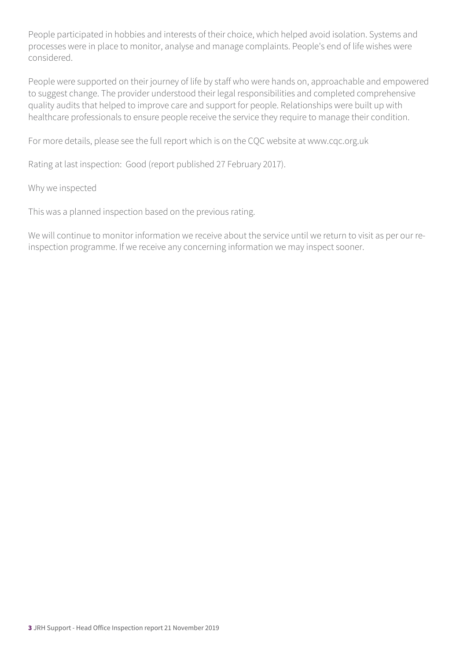People participated in hobbies and interests of their choice, which helped avoid isolation. Systems and processes were in place to monitor, analyse and manage complaints. People's end of life wishes were considered.

People were supported on their journey of life by staff who were hands on, approachable and empowered to suggest change. The provider understood their legal responsibilities and completed comprehensive quality audits that helped to improve care and support for people. Relationships were built up with healthcare professionals to ensure people receive the service they require to manage their condition.

For more details, please see the full report which is on the CQC website at www.cqc.org.uk

Rating at last inspection: Good (report published 27 February 2017).

Why we inspected

This was a planned inspection based on the previous rating.

We will continue to monitor information we receive about the service until we return to visit as per our reinspection programme. If we receive any concerning information we may inspect sooner.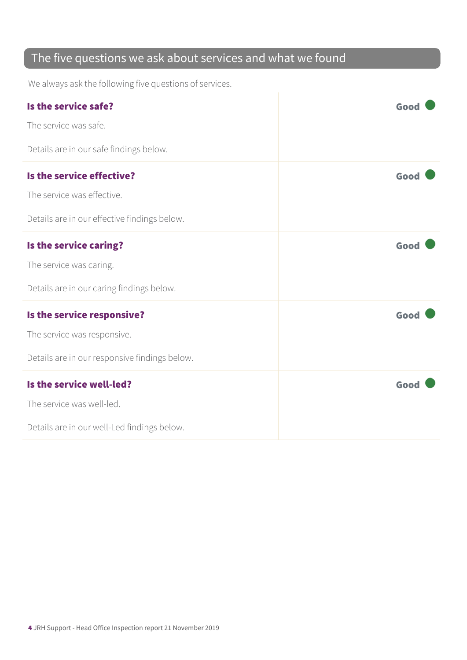### The five questions we ask about services and what we found

We always ask the following five questions of services.

| Is the service safe?                          | Good |
|-----------------------------------------------|------|
| The service was safe.                         |      |
| Details are in our safe findings below.       |      |
| Is the service effective?                     | Good |
| The service was effective.                    |      |
| Details are in our effective findings below.  |      |
| Is the service caring?                        | Good |
| The service was caring.                       |      |
| Details are in our caring findings below.     |      |
| Is the service responsive?                    | Good |
| The service was responsive.                   |      |
| Details are in our responsive findings below. |      |
| Is the service well-led?                      | Good |
| The service was well-led.                     |      |
| Details are in our well-Led findings below.   |      |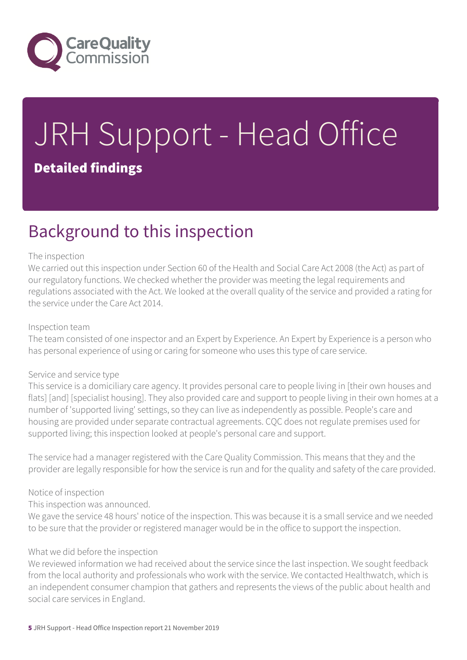

# JRH Support - Head Office Detailed findings

### Background to this inspection

#### The inspection

We carried out this inspection under Section 60 of the Health and Social Care Act 2008 (the Act) as part of our regulatory functions. We checked whether the provider was meeting the legal requirements and regulations associated with the Act. We looked at the overall quality of the service and provided a rating for the service under the Care Act 2014.

#### Inspection team

The team consisted of one inspector and an Expert by Experience. An Expert by Experience is a person who has personal experience of using or caring for someone who uses this type of care service.

#### Service and service type

This service is a domiciliary care agency. It provides personal care to people living in [their own houses and flats] [and] [specialist housing]. They also provided care and support to people living in their own homes at a number of 'supported living' settings, so they can live as independently as possible. People's care and housing are provided under separate contractual agreements. CQC does not regulate premises used for supported living; this inspection looked at people's personal care and support.

The service had a manager registered with the Care Quality Commission. This means that they and the provider are legally responsible for how the service is run and for the quality and safety of the care provided.

#### Notice of inspection

This inspection was announced.

We gave the service 48 hours' notice of the inspection. This was because it is a small service and we needed to be sure that the provider or registered manager would be in the office to support the inspection.

#### What we did before the inspection

We reviewed information we had received about the service since the last inspection. We sought feedback from the local authority and professionals who work with the service. We contacted Healthwatch, which is an independent consumer champion that gathers and represents the views of the public about health and social care services in England.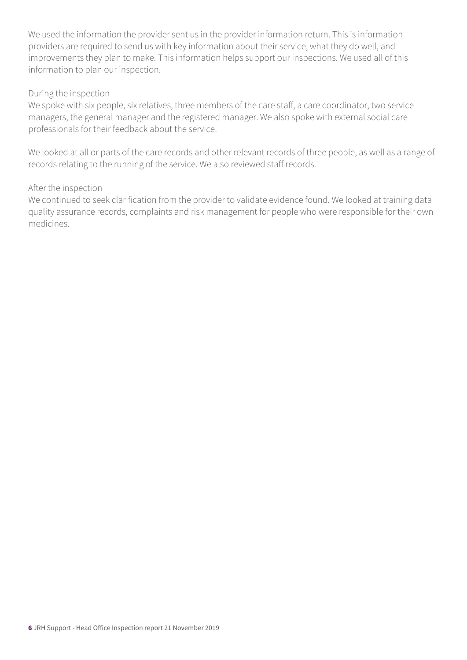We used the information the provider sent us in the provider information return. This is information providers are required to send us with key information about their service, what they do well, and improvements they plan to make. This information helps support our inspections. We used all of this information to plan our inspection.

#### During the inspection

We spoke with six people, six relatives, three members of the care staff, a care coordinator, two service managers, the general manager and the registered manager. We also spoke with external social care professionals for their feedback about the service.

We looked at all or parts of the care records and other relevant records of three people, as well as a range of records relating to the running of the service. We also reviewed staff records.

#### After the inspection

We continued to seek clarification from the provider to validate evidence found. We looked at training data quality assurance records, complaints and risk management for people who were responsible for their own medicines.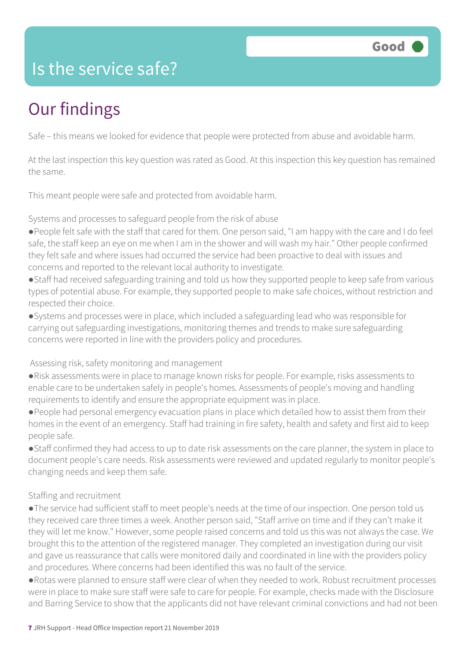### Is the service safe?

## Our findings

Safe – this means we looked for evidence that people were protected from abuse and avoidable harm.

At the last inspection this key question was rated as Good. At this inspection this key question has remained the same.

This meant people were safe and protected from avoidable harm.

Systems and processes to safeguard people from the risk of abuse

- ●People felt safe with the staff that cared for them. One person said, "I am happy with the care and I do feel safe, the staff keep an eye on me when I am in the shower and will wash my hair." Other people confirmed they felt safe and where issues had occurred the service had been proactive to deal with issues and concerns and reported to the relevant local authority to investigate.
- ●Staff had received safeguarding training and told us how they supported people to keep safe from various types of potential abuse. For example, they supported people to make safe choices, without restriction and respected their choice.
- ●Systems and processes were in place, which included a safeguarding lead who was responsible for carrying out safeguarding investigations, monitoring themes and trends to make sure safeguarding concerns were reported in line with the providers policy and procedures.

#### Assessing risk, safety monitoring and management

- ●Risk assessments were in place to manage known risks for people. For example, risks assessments to enable care to be undertaken safely in people's homes. Assessments of people's moving and handling requirements to identify and ensure the appropriate equipment was in place.
- ●People had personal emergency evacuation plans in place which detailed how to assist them from their homes in the event of an emergency. Staff had training in fire safety, health and safety and first aid to keep people safe.
- ●Staff confirmed they had access to up to date risk assessments on the care planner, the system in place to document people's care needs. Risk assessments were reviewed and updated regularly to monitor people's changing needs and keep them safe.

#### Staffing and recruitment

●The service had sufficient staff to meet people's needs at the time of our inspection. One person told us they received care three times a week. Another person said, "Staff arrive on time and if they can't make it they will let me know." However, some people raised concerns and told us this was not always the case. We brought this to the attention of the registered manager. They completed an investigation during our visit and gave us reassurance that calls were monitored daily and coordinated in line with the providers policy and procedures. Where concerns had been identified this was no fault of the service.

●Rotas were planned to ensure staff were clear of when they needed to work. Robust recruitment processes were in place to make sure staff were safe to care for people. For example, checks made with the Disclosure and Barring Service to show that the applicants did not have relevant criminal convictions and had not been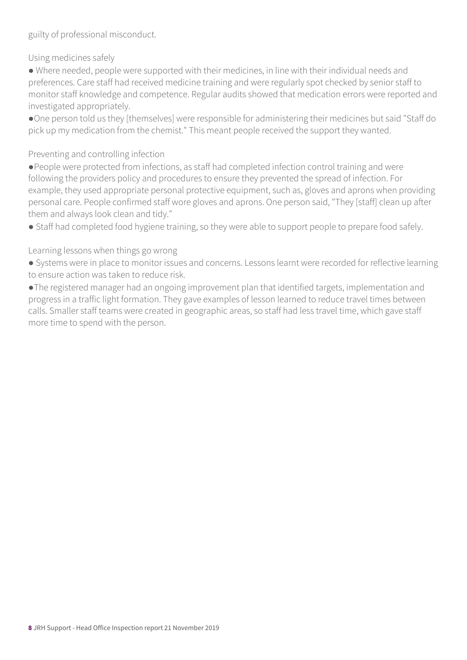guilty of professional misconduct.

Using medicines safely

● Where needed, people were supported with their medicines, in line with their individual needs and preferences. Care staff had received medicine training and were regularly spot checked by senior staff to monitor staff knowledge and competence. Regular audits showed that medication errors were reported and investigated appropriately.

●One person told us they [themselves] were responsible for administering their medicines but said "Staff do pick up my medication from the chemist." This meant people received the support they wanted.

#### Preventing and controlling infection

●People were protected from infections, as staff had completed infection control training and were following the providers policy and procedures to ensure they prevented the spread of infection. For example, they used appropriate personal protective equipment, such as, gloves and aprons when providing personal care. People confirmed staff wore gloves and aprons. One person said, "They [staff] clean up after them and always look clean and tidy."

• Staff had completed food hygiene training, so they were able to support people to prepare food safely.

Learning lessons when things go wrong

● Systems were in place to monitor issues and concerns. Lessons learnt were recorded for reflective learning to ensure action was taken to reduce risk.

●The registered manager had an ongoing improvement plan that identified targets, implementation and progress in a traffic light formation. They gave examples of lesson learned to reduce travel times between calls. Smaller staff teams were created in geographic areas, so staff had less travel time, which gave staff more time to spend with the person.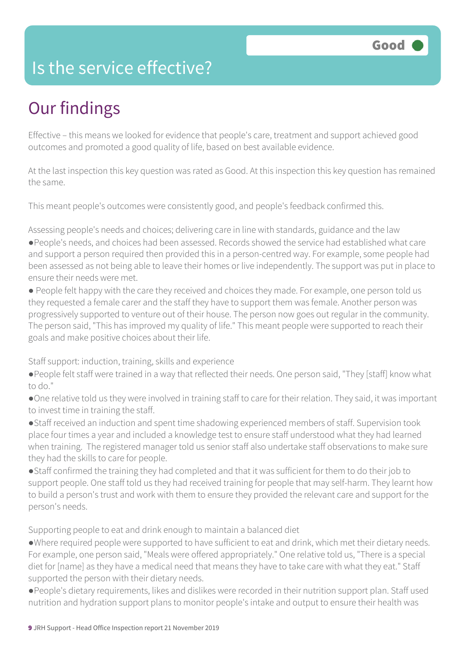### Is the service effective?

## Our findings

Effective – this means we looked for evidence that people's care, treatment and support achieved good outcomes and promoted a good quality of life, based on best available evidence.

At the last inspection this key question was rated as Good. At this inspection this key question has remained the same.

This meant people's outcomes were consistently good, and people's feedback confirmed this.

Assessing people's needs and choices; delivering care in line with standards, guidance and the law

●People's needs, and choices had been assessed. Records showed the service had established what care and support a person required then provided this in a person-centred way. For example, some people had been assessed as not being able to leave their homes or live independently. The support was put in place to ensure their needs were met.

● People felt happy with the care they received and choices they made. For example, one person told us they requested a female carer and the staff they have to support them was female. Another person was progressively supported to venture out of their house. The person now goes out regular in the community. The person said, "This has improved my quality of life." This meant people were supported to reach their goals and make positive choices about their life.

Staff support: induction, training, skills and experience

●People felt staff were trained in a way that reflected their needs. One person said, "They [staff] know what to do."

●One relative told us they were involved in training staff to care for their relation. They said, it was important to invest time in training the staff.

●Staff received an induction and spent time shadowing experienced members of staff. Supervision took place four times a year and included a knowledge test to ensure staff understood what they had learned when training. The registered manager told us senior staff also undertake staff observations to make sure they had the skills to care for people.

●Staff confirmed the training they had completed and that it was sufficient for them to do their job to support people. One staff told us they had received training for people that may self-harm. They learnt how to build a person's trust and work with them to ensure they provided the relevant care and support for the person's needs.

Supporting people to eat and drink enough to maintain a balanced diet

●Where required people were supported to have sufficient to eat and drink, which met their dietary needs. For example, one person said, "Meals were offered appropriately." One relative told us, "There is a special diet for [name] as they have a medical need that means they have to take care with what they eat." Staff supported the person with their dietary needs.

●People's dietary requirements, likes and dislikes were recorded in their nutrition support plan. Staff used nutrition and hydration support plans to monitor people's intake and output to ensure their health was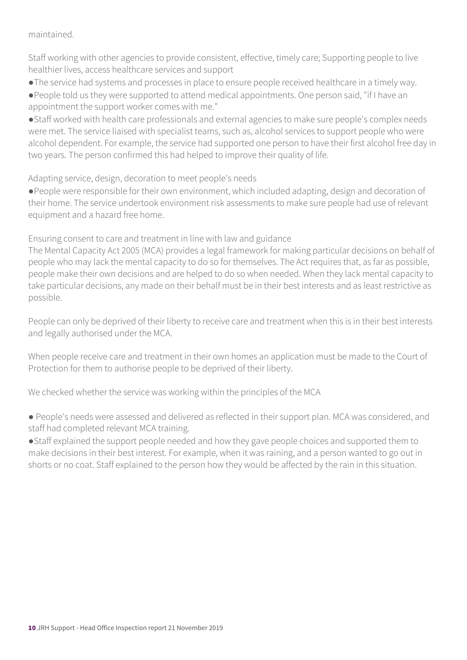maintained.

Staff working with other agencies to provide consistent, effective, timely care; Supporting people to live healthier lives, access healthcare services and support

●The service had systems and processes in place to ensure people received healthcare in a timely way.

●People told us they were supported to attend medical appointments. One person said, "if I have an appointment the support worker comes with me."

●Staff worked with health care professionals and external agencies to make sure people's complex needs were met. The service liaised with specialist teams, such as, alcohol services to support people who were alcohol dependent. For example, the service had supported one person to have their first alcohol free day in two years. The person confirmed this had helped to improve their quality of life.

Adapting service, design, decoration to meet people's needs

●People were responsible for their own environment, which included adapting, design and decoration of their home. The service undertook environment risk assessments to make sure people had use of relevant equipment and a hazard free home.

Ensuring consent to care and treatment in line with law and guidance

The Mental Capacity Act 2005 (MCA) provides a legal framework for making particular decisions on behalf of people who may lack the mental capacity to do so for themselves. The Act requires that, as far as possible, people make their own decisions and are helped to do so when needed. When they lack mental capacity to take particular decisions, any made on their behalf must be in their best interests and as least restrictive as possible.

People can only be deprived of their liberty to receive care and treatment when this is in their best interests and legally authorised under the MCA.

When people receive care and treatment in their own homes an application must be made to the Court of Protection for them to authorise people to be deprived of their liberty.

We checked whether the service was working within the principles of the MCA

● People's needs were assessed and delivered as reflected in their support plan. MCA was considered, and staff had completed relevant MCA training.

●Staff explained the support people needed and how they gave people choices and supported them to make decisions in their best interest. For example, when it was raining, and a person wanted to go out in shorts or no coat. Staff explained to the person how they would be affected by the rain in this situation.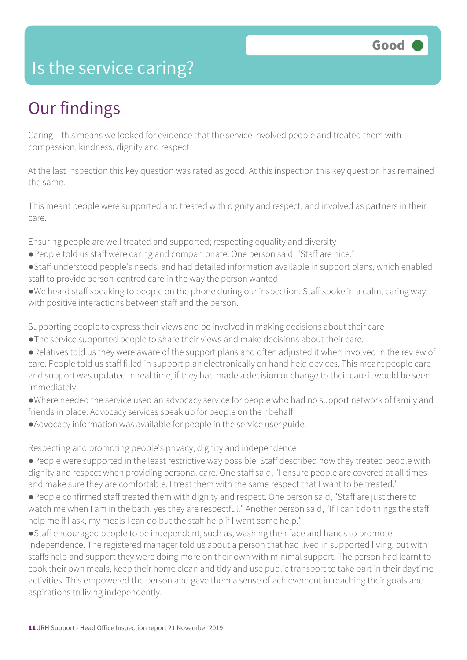### Is the service caring?

### Our findings

Caring – this means we looked for evidence that the service involved people and treated them with compassion, kindness, dignity and respect

At the last inspection this key question was rated as good. At this inspection this key question has remained the same.

This meant people were supported and treated with dignity and respect; and involved as partners in their care.

Ensuring people are well treated and supported; respecting equality and diversity

- ●People told us staff were caring and companionate. One person said, "Staff are nice."
- ●Staff understood people's needs, and had detailed information available in support plans, which enabled staff to provide person-centred care in the way the person wanted.
- ●We heard staff speaking to people on the phone during our inspection. Staff spoke in a calm, caring way with positive interactions between staff and the person.

Supporting people to express their views and be involved in making decisions about their care

- ●The service supported people to share their views and make decisions about their care.
- ●Relatives told us they were aware of the support plans and often adjusted it when involved in the review of care. People told us staff filled in support plan electronically on hand held devices. This meant people care and support was updated in real time, if they had made a decision or change to their care it would be seen immediately.
- ●Where needed the service used an advocacy service for people who had no support network of family and friends in place. Advocacy services speak up for people on their behalf.
- ●Advocacy information was available for people in the service user guide.

Respecting and promoting people's privacy, dignity and independence

- ●People were supported in the least restrictive way possible. Staff described how they treated people with dignity and respect when providing personal care. One staff said, "I ensure people are covered at all times and make sure they are comfortable. I treat them with the same respect that I want to be treated."
- ●People confirmed staff treated them with dignity and respect. One person said, "Staff are just there to watch me when I am in the bath, yes they are respectful." Another person said, "If I can't do things the staff help me if I ask, my meals I can do but the staff help if I want some help."
- ●Staff encouraged people to be independent, such as, washing their face and hands to promote independence. The registered manager told us about a person that had lived in supported living, but with staffs help and support they were doing more on their own with minimal support. The person had learnt to cook their own meals, keep their home clean and tidy and use public transport to take part in their daytime activities. This empowered the person and gave them a sense of achievement in reaching their goals and aspirations to living independently.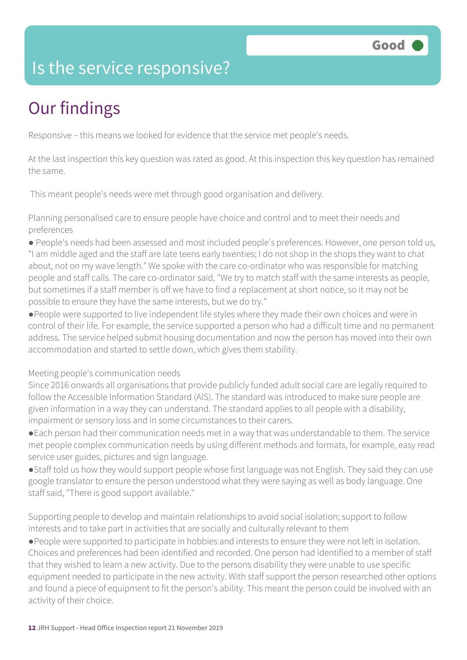### Is the service responsive?

# Our findings

Responsive – this means we looked for evidence that the service met people's needs.

At the last inspection this key question was rated as good. At this inspection this key question has remained the same.

This meant people's needs were met through good organisation and delivery.

Planning personalised care to ensure people have choice and control and to meet their needs and preferences

● People's needs had been assessed and most included people's preferences. However, one person told us, "I am middle aged and the staff are late teens early twenties; I do not shop in the shops they want to chat about, not on my wave length." We spoke with the care co-ordinator who was responsible for matching people and staff calls. The care co-ordinator said, "We try to match staff with the same interests as people, but sometimes if a staff member is off we have to find a replacement at short notice, so it may not be possible to ensure they have the same interests, but we do try."

●People were supported to live independent life styles where they made their own choices and were in control of their life. For example, the service supported a person who had a difficult time and no permanent address. The service helped submit housing documentation and now the person has moved into their own accommodation and started to settle down, which gives them stability.

#### Meeting people's communication needs

Since 2016 onwards all organisations that provide publicly funded adult social care are legally required to follow the Accessible Information Standard (AIS). The standard was introduced to make sure people are given information in a way they can understand. The standard applies to all people with a disability, impairment or sensory loss and in some circumstances to their carers.

●Each person had their communication needs met in a way that was understandable to them. The service met people complex communication needs by using different methods and formats, for example, easy read service user guides, pictures and sign language.

●Staff told us how they would support people whose first language was not English. They said they can use google translator to ensure the person understood what they were saying as well as body language. One staff said, "There is good support available."

Supporting people to develop and maintain relationships to avoid social isolation; support to follow interests and to take part in activities that are socially and culturally relevant to them

●People were supported to participate in hobbies and interests to ensure they were not left in isolation. Choices and preferences had been identified and recorded. One person had identified to a member of staff that they wished to learn a new activity. Due to the persons disability they were unable to use specific equipment needed to participate in the new activity. With staff support the person researched other options and found a piece of equipment to fit the person's ability. This meant the person could be involved with an activity of their choice.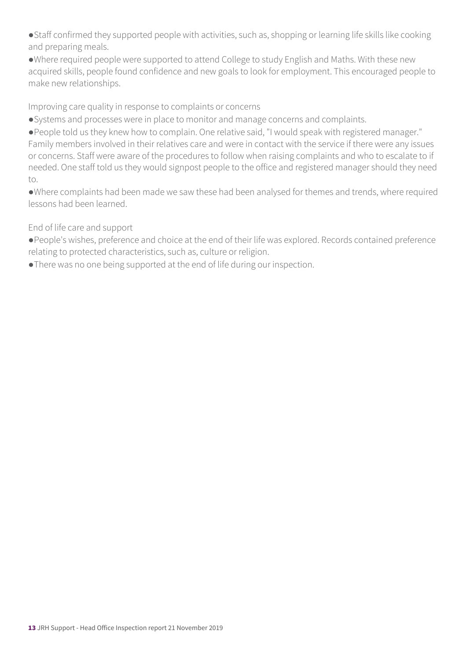●Staff confirmed they supported people with activities, such as, shopping or learning life skills like cooking and preparing meals.

●Where required people were supported to attend College to study English and Maths. With these new acquired skills, people found confidence and new goals to look for employment. This encouraged people to make new relationships.

Improving care quality in response to complaints or concerns

●Systems and processes were in place to monitor and manage concerns and complaints.

●People told us they knew how to complain. One relative said, "I would speak with registered manager." Family members involved in their relatives care and were in contact with the service if there were any issues or concerns. Staff were aware of the procedures to follow when raising complaints and who to escalate to if needed. One staff told us they would signpost people to the office and registered manager should they need to.

●Where complaints had been made we saw these had been analysed for themes and trends, where required lessons had been learned.

End of life care and support

●People's wishes, preference and choice at the end of their life was explored. Records contained preference relating to protected characteristics, such as, culture or religion.

●There was no one being supported at the end of life during our inspection.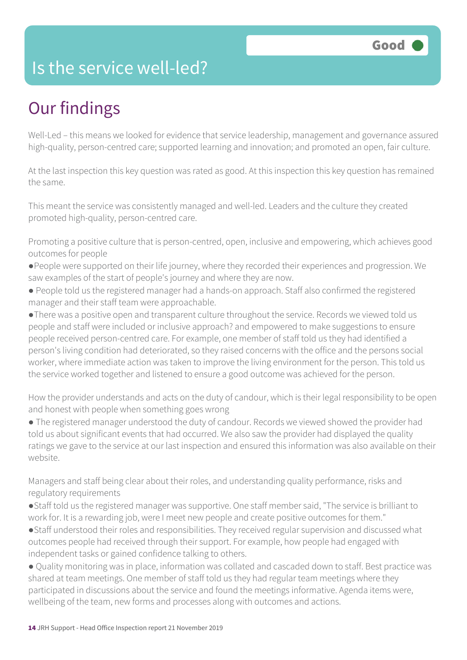### Is the service well-led?

## Our findings

Well-Led – this means we looked for evidence that service leadership, management and governance assured high-quality, person-centred care; supported learning and innovation; and promoted an open, fair culture.

At the last inspection this key question was rated as good. At this inspection this key question has remained the same.

This meant the service was consistently managed and well-led. Leaders and the culture they created promoted high-quality, person-centred care.

Promoting a positive culture that is person-centred, open, inclusive and empowering, which achieves good outcomes for people

- ●People were supported on their life journey, where they recorded their experiences and progression. We saw examples of the start of people's journey and where they are now.
- People told us the registered manager had a hands-on approach. Staff also confirmed the registered manager and their staff team were approachable.

●There was a positive open and transparent culture throughout the service. Records we viewed told us people and staff were included or inclusive approach? and empowered to make suggestions to ensure people received person-centred care. For example, one member of staff told us they had identified a person's living condition had deteriorated, so they raised concerns with the office and the persons social worker, where immediate action was taken to improve the living environment for the person. This told us the service worked together and listened to ensure a good outcome was achieved for the person.

How the provider understands and acts on the duty of candour, which is their legal responsibility to be open and honest with people when something goes wrong

● The registered manager understood the duty of candour. Records we viewed showed the provider had told us about significant events that had occurred. We also saw the provider had displayed the quality ratings we gave to the service at our last inspection and ensured this information was also available on their website.

Managers and staff being clear about their roles, and understanding quality performance, risks and regulatory requirements

- ●Staff told us the registered manager was supportive. One staff member said, "The service is brilliant to work for. It is a rewarding job, were I meet new people and create positive outcomes for them."
- ●Staff understood their roles and responsibilities. They received regular supervision and discussed what outcomes people had received through their support. For example, how people had engaged with independent tasks or gained confidence talking to others.
- Quality monitoring was in place, information was collated and cascaded down to staff. Best practice was shared at team meetings. One member of staff told us they had regular team meetings where they participated in discussions about the service and found the meetings informative. Agenda items were, wellbeing of the team, new forms and processes along with outcomes and actions.